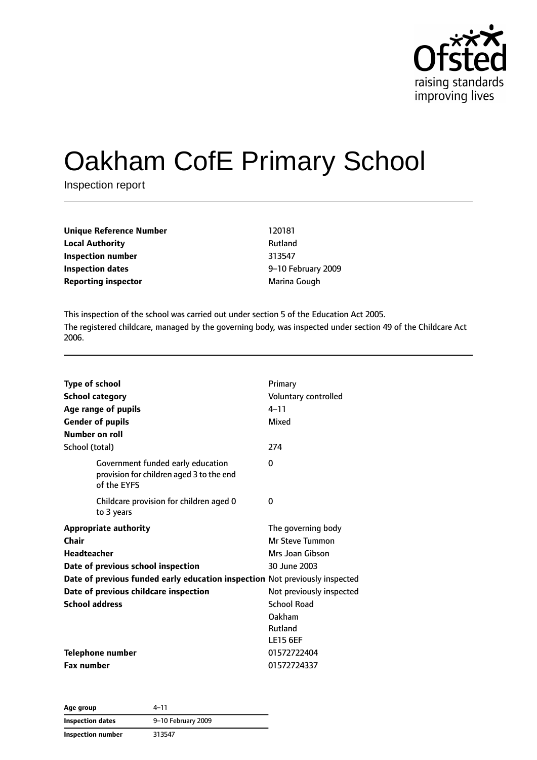

# Oakham CofE Primary School

Inspection report

| Unique Reference Number<br>120181  |                    |
|------------------------------------|--------------------|
| <b>Local Authority</b><br>Rutland  |                    |
| <b>Inspection number</b><br>313547 |                    |
| <b>Inspection dates</b>            | 9-10 February 2009 |
| Reporting inspector                | Marina Gough       |

This inspection of the school was carried out under section 5 of the Education Act 2005. The registered childcare, managed by the governing body, was inspected under section 49 of the Childcare Act 2006.

| <b>Type of school</b><br><b>School category</b><br>Age range of pupils<br><b>Gender of pupils</b><br>Number on roll | Primary<br>Voluntary controlled<br>$4 - 11$<br>Mixed     |
|---------------------------------------------------------------------------------------------------------------------|----------------------------------------------------------|
| School (total)                                                                                                      | 274                                                      |
| Government funded early education<br>provision for children aged 3 to the end<br>of the EYFS                        | 0                                                        |
| Childcare provision for children aged 0<br>to 3 years                                                               | 0                                                        |
| <b>Appropriate authority</b><br>Chair<br>Headteacher                                                                | The governing body<br>Mr Steve Tummon<br>Mrs Joan Gibson |
| Date of previous school inspection                                                                                  | 30 June 2003                                             |
| Date of previous funded early education inspection Not previously inspected                                         |                                                          |
| Date of previous childcare inspection                                                                               | Not previously inspected                                 |
| <b>School address</b>                                                                                               | <b>School Road</b>                                       |
|                                                                                                                     | Oakham                                                   |
|                                                                                                                     | Rutland                                                  |
|                                                                                                                     | <b>LE15 6EF</b>                                          |
| <b>Telephone number</b>                                                                                             | 01572722404                                              |
| <b>Fax number</b>                                                                                                   | 01572724337                                              |

| Age group               | 4–11               |
|-------------------------|--------------------|
| <b>Inspection dates</b> | 9-10 February 2009 |
| Inspection number       | 313547             |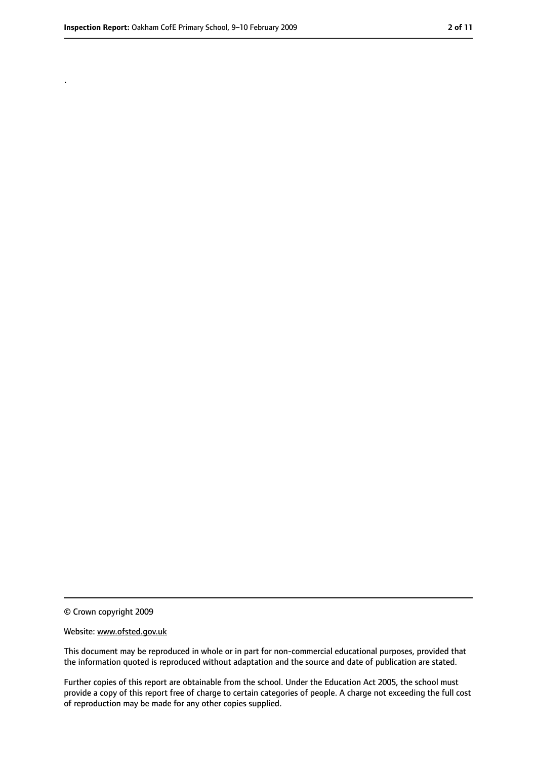.

<sup>©</sup> Crown copyright 2009

Website: www.ofsted.gov.uk

This document may be reproduced in whole or in part for non-commercial educational purposes, provided that the information quoted is reproduced without adaptation and the source and date of publication are stated.

Further copies of this report are obtainable from the school. Under the Education Act 2005, the school must provide a copy of this report free of charge to certain categories of people. A charge not exceeding the full cost of reproduction may be made for any other copies supplied.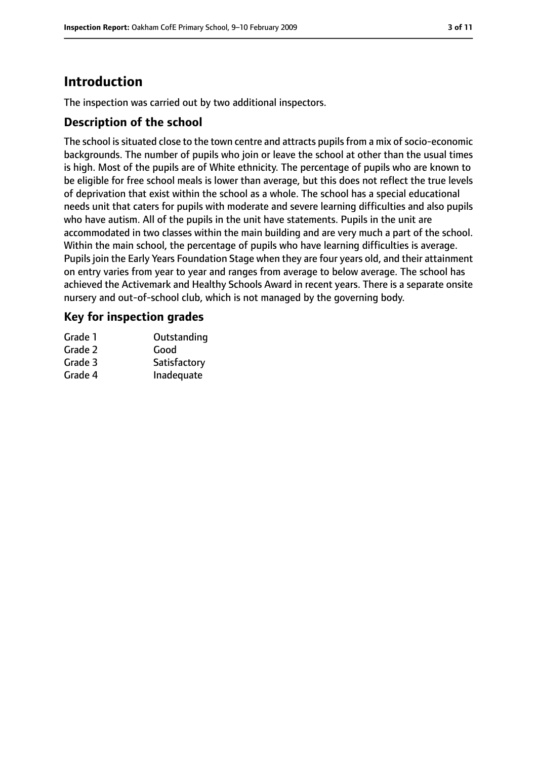# **Introduction**

The inspection was carried out by two additional inspectors.

## **Description of the school**

The school is situated close to the town centre and attracts pupils from a mix of socio-economic backgrounds. The number of pupils who join or leave the school at other than the usual times is high. Most of the pupils are of White ethnicity. The percentage of pupils who are known to be eligible for free school meals is lower than average, but this does not reflect the true levels of deprivation that exist within the school as a whole. The school has a special educational needs unit that caters for pupils with moderate and severe learning difficulties and also pupils who have autism. All of the pupils in the unit have statements. Pupils in the unit are accommodated in two classes within the main building and are very much a part of the school. Within the main school, the percentage of pupils who have learning difficulties is average. Pupils join the Early Years Foundation Stage when they are four years old, and their attainment on entry varies from year to year and ranges from average to below average. The school has achieved the Activemark and Healthy Schools Award in recent years. There is a separate onsite nursery and out-of-school club, which is not managed by the governing body.

## **Key for inspection grades**

| Grade 1 | Outstanding  |
|---------|--------------|
| Grade 2 | Good         |
| Grade 3 | Satisfactory |
| Grade 4 | Inadequate   |
|         |              |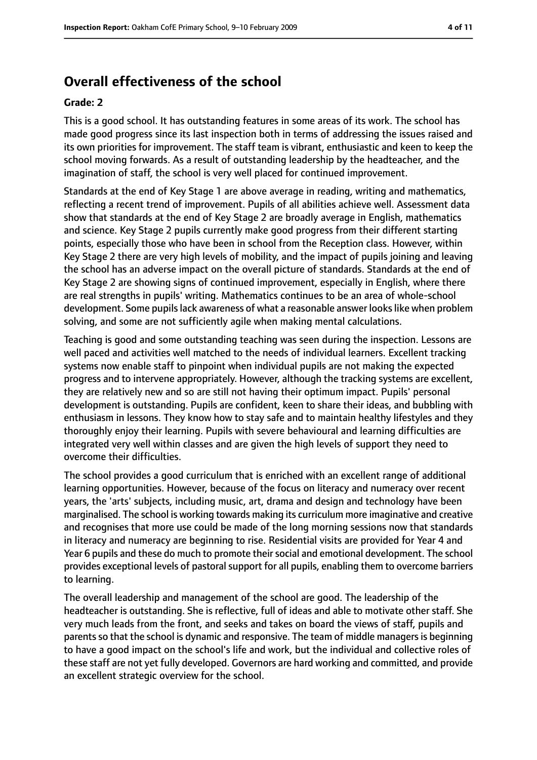# **Overall effectiveness of the school**

#### **Grade: 2**

This is a good school. It has outstanding features in some areas of its work. The school has made good progress since its last inspection both in terms of addressing the issues raised and its own priorities for improvement. The staff team is vibrant, enthusiastic and keen to keep the school moving forwards. As a result of outstanding leadership by the headteacher, and the imagination of staff, the school is very well placed for continued improvement.

Standards at the end of Key Stage 1 are above average in reading, writing and mathematics, reflecting a recent trend of improvement. Pupils of all abilities achieve well. Assessment data show that standards at the end of Key Stage 2 are broadly average in English, mathematics and science. Key Stage 2 pupils currently make good progress from their different starting points, especially those who have been in school from the Reception class. However, within Key Stage 2 there are very high levels of mobility, and the impact of pupils joining and leaving the school has an adverse impact on the overall picture of standards. Standards at the end of Key Stage 2 are showing signs of continued improvement, especially in English, where there are real strengths in pupils' writing. Mathematics continues to be an area of whole-school development. Some pupilslack awareness of what a reasonable answer lookslike when problem solving, and some are not sufficiently agile when making mental calculations.

Teaching is good and some outstanding teaching was seen during the inspection. Lessons are well paced and activities well matched to the needs of individual learners. Excellent tracking systems now enable staff to pinpoint when individual pupils are not making the expected progress and to intervene appropriately. However, although the tracking systems are excellent, they are relatively new and so are still not having their optimum impact. Pupils' personal development is outstanding. Pupils are confident, keen to share their ideas, and bubbling with enthusiasm in lessons. They know how to stay safe and to maintain healthy lifestyles and they thoroughly enjoy their learning. Pupils with severe behavioural and learning difficulties are integrated very well within classes and are given the high levels of support they need to overcome their difficulties.

The school provides a good curriculum that is enriched with an excellent range of additional learning opportunities. However, because of the focus on literacy and numeracy over recent years, the 'arts' subjects, including music, art, drama and design and technology have been marginalised. The school is working towards making its curriculum more imaginative and creative and recognises that more use could be made of the long morning sessions now that standards in literacy and numeracy are beginning to rise. Residential visits are provided for Year 4 and Year 6 pupils and these do much to promote their social and emotional development. The school provides exceptional levels of pastoral support for all pupils, enabling them to overcome barriers to learning.

The overall leadership and management of the school are good. The leadership of the headteacher is outstanding. She is reflective, full of ideas and able to motivate other staff. She very much leads from the front, and seeks and takes on board the views of staff, pupils and parents so that the school is dynamic and responsive. The team of middle managers is beginning to have a good impact on the school's life and work, but the individual and collective roles of these staff are not yet fully developed. Governors are hard working and committed, and provide an excellent strategic overview for the school.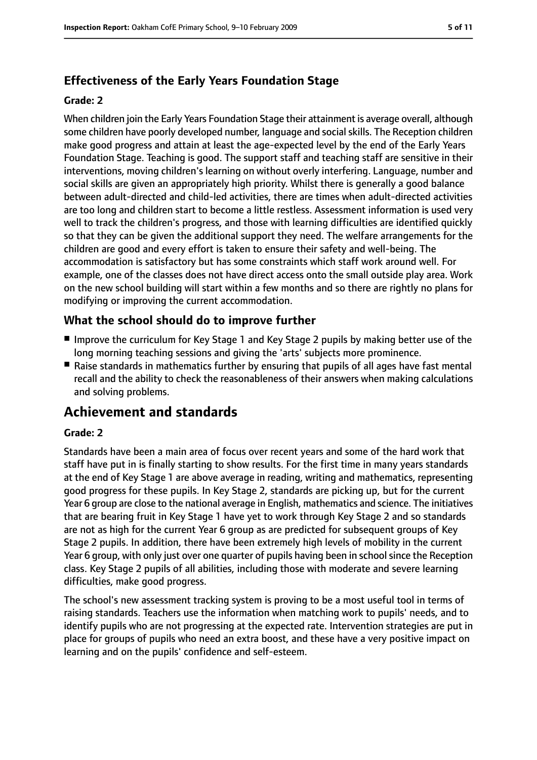# **Effectiveness of the Early Years Foundation Stage**

#### **Grade: 2**

When children join the Early Years Foundation Stage their attainment is average overall, although some children have poorly developed number, language and socialskills. The Reception children make good progress and attain at least the age-expected level by the end of the Early Years Foundation Stage. Teaching is good. The support staff and teaching staff are sensitive in their interventions, moving children's learning on without overly interfering. Language, number and social skills are given an appropriately high priority. Whilst there is generally a good balance between adult-directed and child-led activities, there are times when adult-directed activities are too long and children start to become a little restless. Assessment information is used very well to track the children's progress, and those with learning difficulties are identified quickly so that they can be given the additional support they need. The welfare arrangements for the children are good and every effort is taken to ensure their safety and well-being. The accommodation is satisfactory but has some constraints which staff work around well. For example, one of the classes does not have direct access onto the small outside play area. Work on the new school building will start within a few months and so there are rightly no plans for modifying or improving the current accommodation.

# **What the school should do to improve further**

- Improve the curriculum for Key Stage 1 and Key Stage 2 pupils by making better use of the long morning teaching sessions and giving the 'arts' subjects more prominence.
- Raise standards in mathematics further by ensuring that pupils of all ages have fast mental recall and the ability to check the reasonableness of their answers when making calculations and solving problems.

# **Achievement and standards**

#### **Grade: 2**

Standards have been a main area of focus over recent years and some of the hard work that staff have put in is finally starting to show results. For the first time in many years standards at the end of Key Stage 1 are above average in reading, writing and mathematics, representing good progress for these pupils. In Key Stage 2, standards are picking up, but for the current Year 6 group are close to the national average in English, mathematics and science. The initiatives that are bearing fruit in Key Stage 1 have yet to work through Key Stage 2 and so standards are not as high for the current Year 6 group as are predicted for subsequent groups of Key Stage 2 pupils. In addition, there have been extremely high levels of mobility in the current Year 6 group, with only just over one quarter of pupils having been in school since the Reception class. Key Stage 2 pupils of all abilities, including those with moderate and severe learning difficulties, make good progress.

The school's new assessment tracking system is proving to be a most useful tool in terms of raising standards. Teachers use the information when matching work to pupils' needs, and to identify pupils who are not progressing at the expected rate. Intervention strategies are put in place for groups of pupils who need an extra boost, and these have a very positive impact on learning and on the pupils' confidence and self-esteem.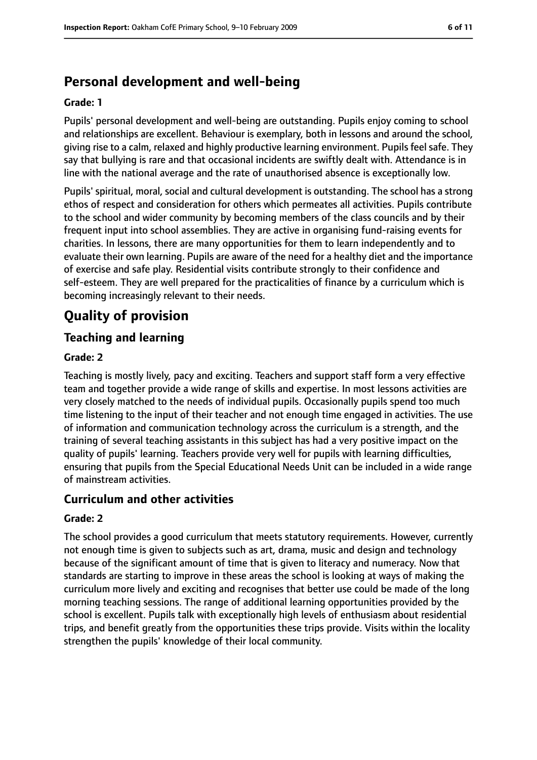# **Personal development and well-being**

#### **Grade: 1**

Pupils' personal development and well-being are outstanding. Pupils enjoy coming to school and relationships are excellent. Behaviour is exemplary, both in lessons and around the school, giving rise to a calm, relaxed and highly productive learning environment. Pupils feel safe. They say that bullying is rare and that occasional incidents are swiftly dealt with. Attendance is in line with the national average and the rate of unauthorised absence is exceptionally low.

Pupils' spiritual, moral, social and cultural development is outstanding. The school has a strong ethos of respect and consideration for others which permeates all activities. Pupils contribute to the school and wider community by becoming members of the class councils and by their frequent input into school assemblies. They are active in organising fund-raising events for charities. In lessons, there are many opportunities for them to learn independently and to evaluate their own learning. Pupils are aware of the need for a healthy diet and the importance of exercise and safe play. Residential visits contribute strongly to their confidence and self-esteem. They are well prepared for the practicalities of finance by a curriculum which is becoming increasingly relevant to their needs.

# **Quality of provision**

# **Teaching and learning**

#### **Grade: 2**

Teaching is mostly lively, pacy and exciting. Teachers and support staff form a very effective team and together provide a wide range of skills and expertise. In most lessons activities are very closely matched to the needs of individual pupils. Occasionally pupils spend too much time listening to the input of their teacher and not enough time engaged in activities. The use of information and communication technology across the curriculum is a strength, and the training of several teaching assistants in this subject has had a very positive impact on the quality of pupils' learning. Teachers provide very well for pupils with learning difficulties, ensuring that pupils from the Special Educational Needs Unit can be included in a wide range of mainstream activities.

### **Curriculum and other activities**

#### **Grade: 2**

The school provides a good curriculum that meets statutory requirements. However, currently not enough time is given to subjects such as art, drama, music and design and technology because of the significant amount of time that is given to literacy and numeracy. Now that standards are starting to improve in these areas the school is looking at ways of making the curriculum more lively and exciting and recognises that better use could be made of the long morning teaching sessions. The range of additional learning opportunities provided by the school is excellent. Pupils talk with exceptionally high levels of enthusiasm about residential trips, and benefit greatly from the opportunities these trips provide. Visits within the locality strengthen the pupils' knowledge of their local community.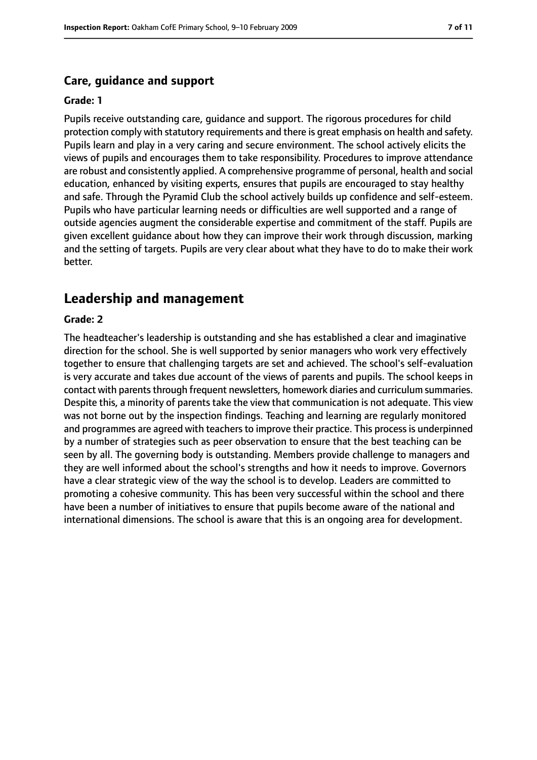#### **Care, guidance and support**

#### **Grade: 1**

Pupils receive outstanding care, guidance and support. The rigorous procedures for child protection comply with statutory requirements and there is great emphasis on health and safety. Pupils learn and play in a very caring and secure environment. The school actively elicits the views of pupils and encourages them to take responsibility. Procedures to improve attendance are robust and consistently applied. A comprehensive programme of personal, health and social education, enhanced by visiting experts, ensures that pupils are encouraged to stay healthy and safe. Through the Pyramid Club the school actively builds up confidence and self-esteem. Pupils who have particular learning needs or difficulties are well supported and a range of outside agencies augment the considerable expertise and commitment of the staff. Pupils are given excellent guidance about how they can improve their work through discussion, marking and the setting of targets. Pupils are very clear about what they have to do to make their work better.

## **Leadership and management**

#### **Grade: 2**

The headteacher's leadership is outstanding and she has established a clear and imaginative direction for the school. She is well supported by senior managers who work very effectively together to ensure that challenging targets are set and achieved. The school's self-evaluation is very accurate and takes due account of the views of parents and pupils. The school keeps in contact with parents through frequent newsletters, homework diaries and curriculum summaries. Despite this, a minority of parents take the view that communication is not adequate. This view was not borne out by the inspection findings. Teaching and learning are regularly monitored and programmes are agreed with teachers to improve their practice. This process is underpinned by a number of strategies such as peer observation to ensure that the best teaching can be seen by all. The governing body is outstanding. Members provide challenge to managers and they are well informed about the school's strengths and how it needs to improve. Governors have a clear strategic view of the way the school is to develop. Leaders are committed to promoting a cohesive community. This has been very successful within the school and there have been a number of initiatives to ensure that pupils become aware of the national and international dimensions. The school is aware that this is an ongoing area for development.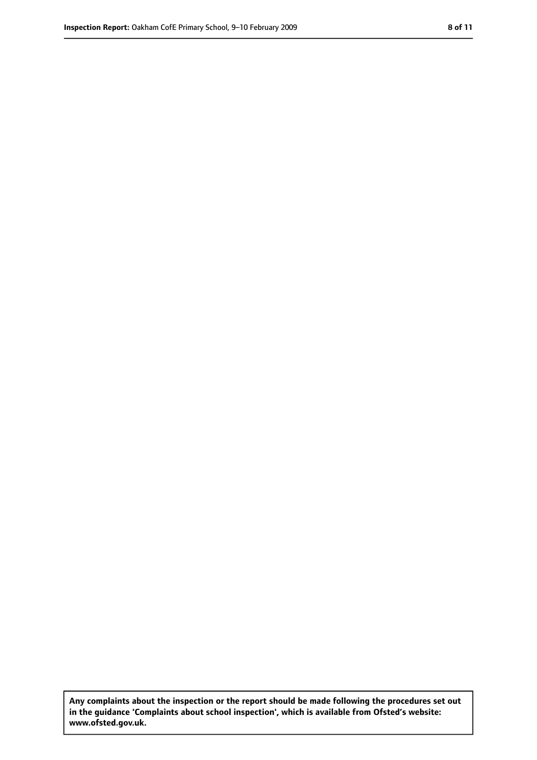**Any complaints about the inspection or the report should be made following the procedures set out in the guidance 'Complaints about school inspection', which is available from Ofsted's website: www.ofsted.gov.uk.**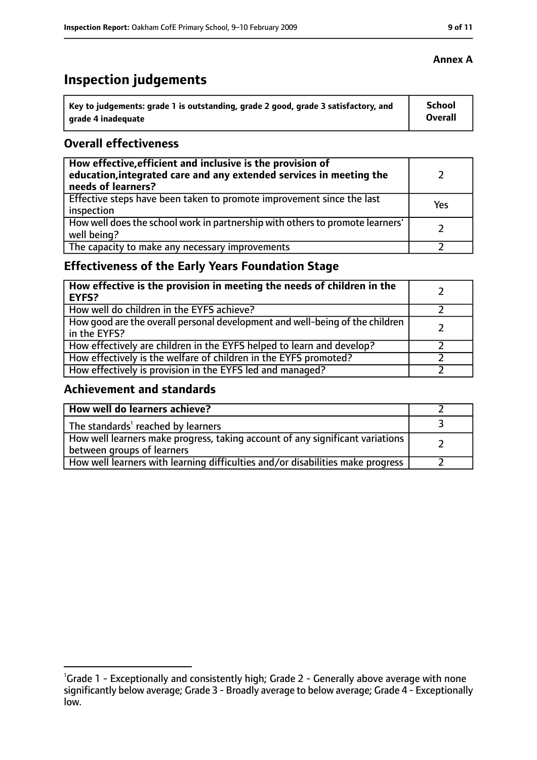# **Inspection judgements**

| Key to judgements: grade 1 is outstanding, grade 2 good, grade 3 satisfactory, and | School  |
|------------------------------------------------------------------------------------|---------|
| arade 4 inadequate                                                                 | Overall |

## **Overall effectiveness**

| How effective, efficient and inclusive is the provision of<br>education, integrated care and any extended services in meeting the<br>needs of learners? |     |
|---------------------------------------------------------------------------------------------------------------------------------------------------------|-----|
| Effective steps have been taken to promote improvement since the last<br>inspection                                                                     | Yes |
| How well does the school work in partnership with others to promote learners'<br>well being?                                                            |     |
| The capacity to make any necessary improvements                                                                                                         |     |

# **Effectiveness of the Early Years Foundation Stage**

| How effective is the provision in meeting the needs of children in the<br><b>EYFS?</b>       |  |
|----------------------------------------------------------------------------------------------|--|
| How well do children in the EYFS achieve?                                                    |  |
| How good are the overall personal development and well-being of the children<br>in the EYFS? |  |
| How effectively are children in the EYFS helped to learn and develop?                        |  |
| How effectively is the welfare of children in the EYFS promoted?                             |  |
| How effectively is provision in the EYFS led and managed?                                    |  |

# **Achievement and standards**

| How well do learners achieve?                                                                               |  |
|-------------------------------------------------------------------------------------------------------------|--|
| The standards <sup>1</sup> reached by learners                                                              |  |
| How well learners make progress, taking account of any significant variations<br>between groups of learners |  |
| How well learners with learning difficulties and/or disabilities make progress                              |  |

## **Annex A**

<sup>&</sup>lt;sup>1</sup>Grade 1 - Exceptionally and consistently high; Grade 2 - Generally above average with none significantly below average; Grade 3 - Broadly average to below average; Grade 4 - Exceptionally low.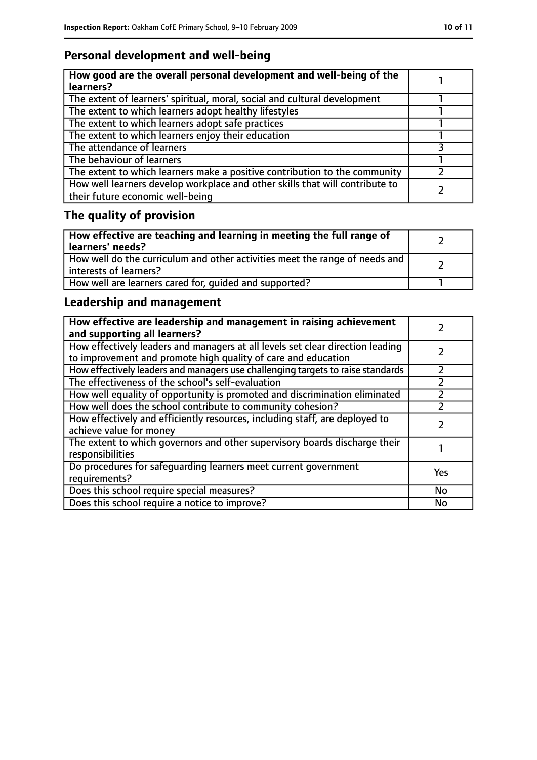# **Personal development and well-being**

| How good are the overall personal development and well-being of the<br>learners?                                 |  |
|------------------------------------------------------------------------------------------------------------------|--|
| The extent of learners' spiritual, moral, social and cultural development                                        |  |
| The extent to which learners adopt healthy lifestyles                                                            |  |
| The extent to which learners adopt safe practices                                                                |  |
| The extent to which learners enjoy their education                                                               |  |
| The attendance of learners                                                                                       |  |
| The behaviour of learners                                                                                        |  |
| The extent to which learners make a positive contribution to the community                                       |  |
| How well learners develop workplace and other skills that will contribute to<br>their future economic well-being |  |

# **The quality of provision**

| How effective are teaching and learning in meeting the full range of<br>learners' needs?              |  |
|-------------------------------------------------------------------------------------------------------|--|
| How well do the curriculum and other activities meet the range of needs and<br>interests of learners? |  |
| How well are learners cared for, quided and supported?                                                |  |

# **Leadership and management**

| How effective are leadership and management in raising achievement<br>and supporting all learners?                                              |     |
|-------------------------------------------------------------------------------------------------------------------------------------------------|-----|
| How effectively leaders and managers at all levels set clear direction leading<br>to improvement and promote high quality of care and education |     |
| How effectively leaders and managers use challenging targets to raise standards                                                                 |     |
| The effectiveness of the school's self-evaluation                                                                                               |     |
| How well equality of opportunity is promoted and discrimination eliminated                                                                      |     |
| How well does the school contribute to community cohesion?                                                                                      |     |
| How effectively and efficiently resources, including staff, are deployed to<br>achieve value for money                                          |     |
| The extent to which governors and other supervisory boards discharge their<br>responsibilities                                                  |     |
| Do procedures for safeguarding learners meet current government<br>requirements?                                                                | Yes |
| Does this school require special measures?                                                                                                      | No  |
| Does this school require a notice to improve?                                                                                                   | No  |